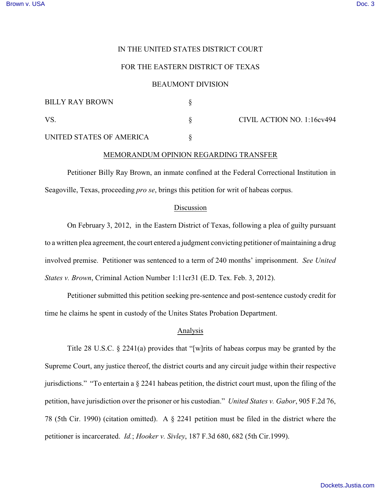# IN THE UNITED STATES DISTRICT COURT

# FOR THE EASTERN DISTRICT OF TEXAS

#### BEAUMONT DIVISION

| <b>BILLY RAY BROWN</b>   |  | CIVIL ACTION NO. 1:16cv494 |
|--------------------------|--|----------------------------|
| VS                       |  |                            |
| UNITED STATES OF AMERICA |  |                            |

## MEMORANDUM OPINION REGARDING TRANSFER

Petitioner Billy Ray Brown, an inmate confined at the Federal Correctional Institution in Seagoville, Texas, proceeding *pro se*, brings this petition for writ of habeas corpus.

#### Discussion

On February 3, 2012, in the Eastern District of Texas, following a plea of guilty pursuant to a written plea agreement, the court entered a judgment convicting petitioner of maintaining a drug involved premise. Petitioner was sentenced to a term of 240 months' imprisonment. *See United States v. Brown*, Criminal Action Number 1:11cr31 (E.D. Tex. Feb. 3, 2012).

Petitioner submitted this petition seeking pre-sentence and post-sentence custody credit for time he claims he spent in custody of the Unites States Probation Department.

# Analysis

Title 28 U.S.C. § 2241(a) provides that "[w]rits of habeas corpus may be granted by the Supreme Court, any justice thereof, the district courts and any circuit judge within their respective jurisdictions." "To entertain a § 2241 habeas petition, the district court must, upon the filing of the petition, have jurisdiction over the prisoner or his custodian." *United States v. Gabor*, 905 F.2d 76, 78 (5th Cir. 1990) (citation omitted). A § 2241 petition must be filed in the district where the petitioner is incarcerated. *Id.*; *Hooker v. Sivley*, 187 F.3d 680, 682 (5th Cir.1999).